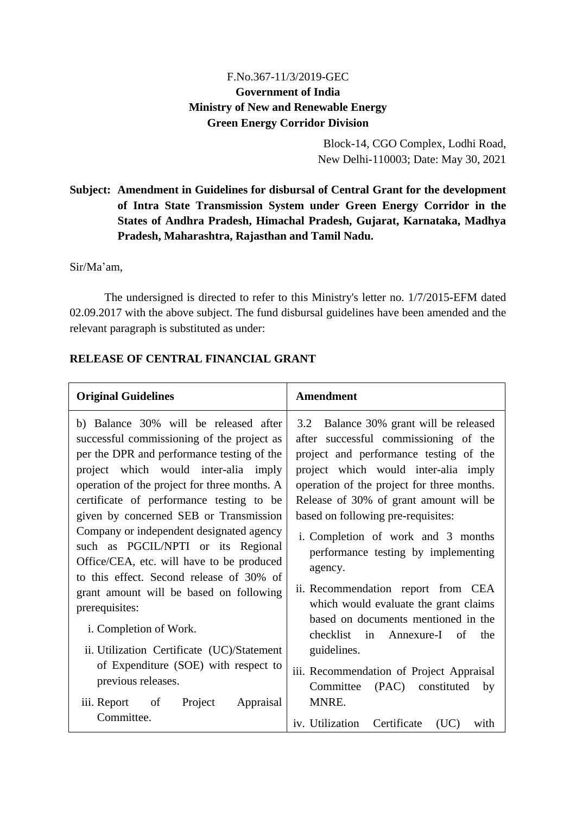## F.No.367-11/3/2019-GEC **Government of India Ministry of New and Renewable Energy Green Energy Corridor Division**

Block-14, CGO Complex, Lodhi Road, New Delhi-110003; Date: May 30, 2021

# **Subject: Amendment in Guidelines for disbursal of Central Grant for the development of Intra State Transmission System under Green Energy Corridor in the States of Andhra Pradesh, Himachal Pradesh, Gujarat, Karnataka, Madhya Pradesh, Maharashtra, Rajasthan and Tamil Nadu.**

Sir/Ma'am,

The undersigned is directed to refer to this Ministry's letter no. 1/7/2015-EFM dated 02.09.2017 with the above subject. The fund disbursal guidelines have been amended and the relevant paragraph is substituted as under:

## **RELEASE OF CENTRAL FINANCIAL GRANT**

| <b>Original Guidelines</b>                                                                                                                                                                                                                                                                                                                                                                                                                                                                                                                                                                                                                                                                                                              | Amendment                                                                                                                                                                                                                                                                                                                                                                                                                                                                                                                                                                                                                                                            |  |  |
|-----------------------------------------------------------------------------------------------------------------------------------------------------------------------------------------------------------------------------------------------------------------------------------------------------------------------------------------------------------------------------------------------------------------------------------------------------------------------------------------------------------------------------------------------------------------------------------------------------------------------------------------------------------------------------------------------------------------------------------------|----------------------------------------------------------------------------------------------------------------------------------------------------------------------------------------------------------------------------------------------------------------------------------------------------------------------------------------------------------------------------------------------------------------------------------------------------------------------------------------------------------------------------------------------------------------------------------------------------------------------------------------------------------------------|--|--|
| b) Balance 30% will be released after<br>successful commissioning of the project as<br>per the DPR and performance testing of the<br>project which would inter-alia imply<br>operation of the project for three months. A<br>certificate of performance testing to be<br>given by concerned SEB or Transmission<br>Company or independent designated agency<br>such as PGCIL/NPTI or its Regional<br>Office/CEA, etc. will have to be produced<br>to this effect. Second release of 30% of<br>grant amount will be based on following<br>prerequisites:<br>i. Completion of Work.<br>ii. Utilization Certificate (UC)/Statement<br>of Expenditure (SOE) with respect to<br>previous releases.<br>Project<br>iii. Report of<br>Appraisal | Balance 30% grant will be released<br>3.2<br>after successful commissioning of the<br>project and performance testing of the<br>project which would inter-alia imply<br>operation of the project for three months.<br>Release of 30% of grant amount will be<br>based on following pre-requisites:<br>i. Completion of work and 3 months<br>performance testing by implementing<br>agency.<br>ii. Recommendation report from CEA<br>which would evaluate the grant claims<br>based on documents mentioned in the<br>checklist<br>in Annexure-I of<br>the<br>guidelines.<br>iii. Recommendation of Project Appraisal<br>Committee<br>(PAC) constituted<br>by<br>MNRE. |  |  |
| Committee.                                                                                                                                                                                                                                                                                                                                                                                                                                                                                                                                                                                                                                                                                                                              | iv. Utilization<br>Certificate<br>(UC)<br>with                                                                                                                                                                                                                                                                                                                                                                                                                                                                                                                                                                                                                       |  |  |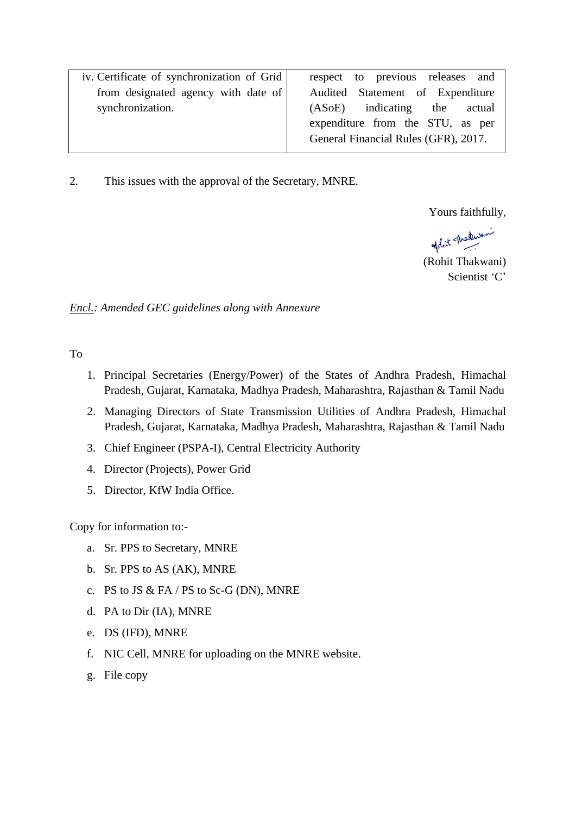| iv. Certificate of synchronization of Grid | respect to previous releases and     |  |  |
|--------------------------------------------|--------------------------------------|--|--|
| from designated agency with date of        | Audited Statement of Expenditure     |  |  |
| synchronization.                           | $(ASoE)$ indicating the<br>actual    |  |  |
|                                            | expenditure from the STU, as per     |  |  |
|                                            | General Financial Rules (GFR), 2017. |  |  |
|                                            |                                      |  |  |

2. This issues with the approval of the Secretary, MNRE.

Yours faithfully,

of hit - Materiani

(Rohit Thakwani) Scientist 'C'

*Encl.: Amended GEC guidelines along with Annexure*

To

- 1. Principal Secretaries (Energy/Power) of the States of Andhra Pradesh, Himachal Pradesh, Gujarat, Karnataka, Madhya Pradesh, Maharashtra, Rajasthan & Tamil Nadu
- 2. Managing Directors of State Transmission Utilities of Andhra Pradesh, Himachal Pradesh, Gujarat, Karnataka, Madhya Pradesh, Maharashtra, Rajasthan & Tamil Nadu
- 3. Chief Engineer (PSPA-I), Central Electricity Authority
- 4. Director (Projects), Power Grid
- 5. Director, KfW India Office.

Copy for information to:-

- a. Sr. PPS to Secretary, MNRE
- b. Sr. PPS to AS (AK), MNRE
- c. PS to JS & FA / PS to Sc-G (DN), MNRE
- d. PA to Dir (IA), MNRE
- e. DS (IFD), MNRE
- f. NIC Cell, MNRE for uploading on the MNRE website.
- g. File copy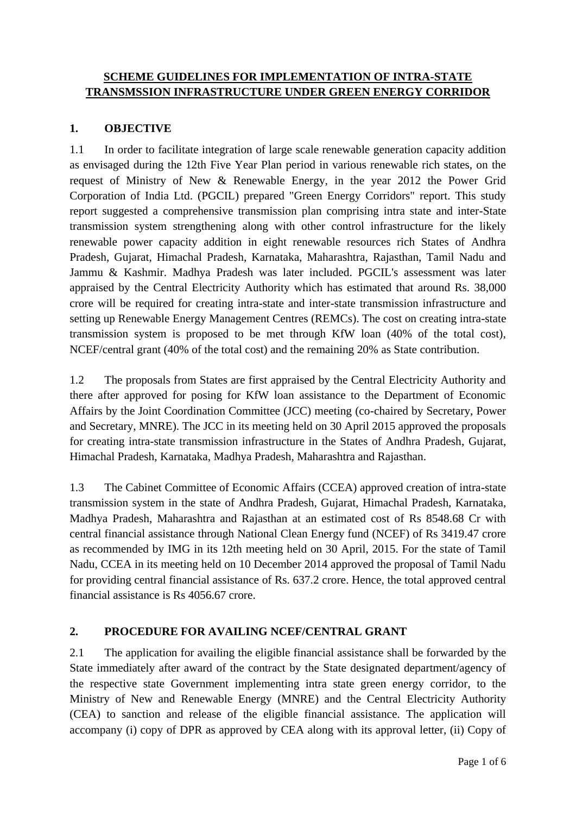#### **SCHEME GUIDELINES FOR IMPLEMENTATION OF INTRA-STATE TRANSMSSION INFRASTRUCTURE UNDER GREEN ENERGY CORRIDOR**

#### **1. OBJECTIVE**

1.1 In order to facilitate integration of large scale renewable generation capacity addition as envisaged during the 12th Five Year Plan period in various renewable rich states, on the request of Ministry of New & Renewable Energy, in the year 2012 the Power Grid Corporation of India Ltd. (PGCIL) prepared "Green Energy Corridors" report. This study report suggested a comprehensive transmission plan comprising intra state and inter-State transmission system strengthening along with other control infrastructure for the likely renewable power capacity addition in eight renewable resources rich States of Andhra Pradesh, Gujarat, Himachal Pradesh, Karnataka, Maharashtra, Rajasthan, Tamil Nadu and Jammu & Kashmir. Madhya Pradesh was later included. PGCIL's assessment was later appraised by the Central Electricity Authority which has estimated that around Rs. 38,000 crore will be required for creating intra-state and inter-state transmission infrastructure and setting up Renewable Energy Management Centres (REMCs). The cost on creating intra-state transmission system is proposed to be met through KfW loan (40% of the total cost), NCEF/central grant (40% of the total cost) and the remaining 20% as State contribution.

1.2 The proposals from States are first appraised by the Central Electricity Authority and there after approved for posing for KfW loan assistance to the Department of Economic Affairs by the Joint Coordination Committee (JCC) meeting (co-chaired by Secretary, Power and Secretary, MNRE). The JCC in its meeting held on 30 April 2015 approved the proposals for creating intra-state transmission infrastructure in the States of Andhra Pradesh, Gujarat, Himachal Pradesh, Karnataka, Madhya Pradesh, Maharashtra and Rajasthan.

1.3 The Cabinet Committee of Economic Affairs (CCEA) approved creation of intra-state transmission system in the state of Andhra Pradesh, Gujarat, Himachal Pradesh, Karnataka, Madhya Pradesh, Maharashtra and Rajasthan at an estimated cost of Rs 8548.68 Cr with central financial assistance through National Clean Energy fund (NCEF) of Rs 3419.47 crore as recommended by IMG in its 12th meeting held on 30 April, 2015. For the state of Tamil Nadu, CCEA in its meeting held on 10 December 2014 approved the proposal of Tamil Nadu for providing central financial assistance of Rs. 637.2 crore. Hence, the total approved central financial assistance is Rs 4056.67 crore.

#### **2. PROCEDURE FOR AVAILING NCEF/CENTRAL GRANT**

2.1 The application for availing the eligible financial assistance shall be forwarded by the State immediately after award of the contract by the State designated department/agency of the respective state Government implementing intra state green energy corridor, to the Ministry of New and Renewable Energy (MNRE) and the Central Electricity Authority (CEA) to sanction and release of the eligible financial assistance. The application will accompany (i) copy of DPR as approved by CEA along with its approval letter, (ii) Copy of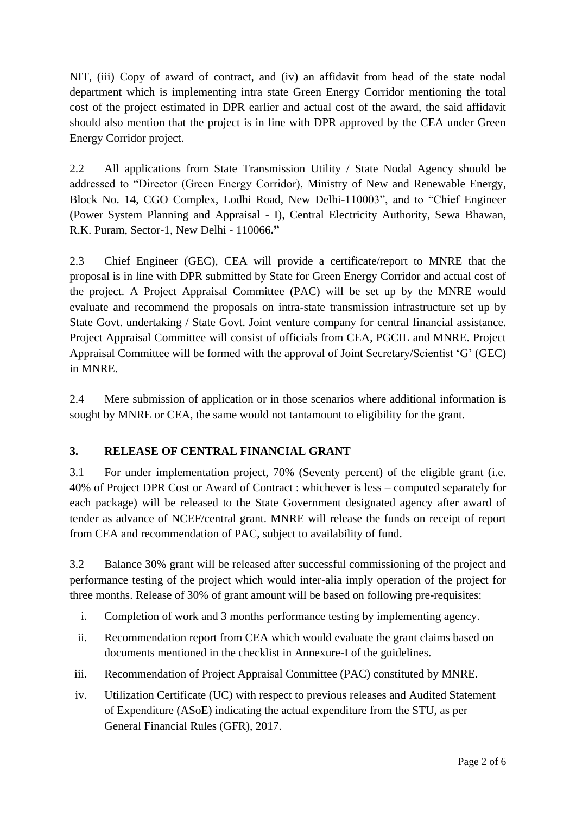NIT, (iii) Copy of award of contract, and (iv) an affidavit from head of the state nodal department which is implementing intra state Green Energy Corridor mentioning the total cost of the project estimated in DPR earlier and actual cost of the award, the said affidavit should also mention that the project is in line with DPR approved by the CEA under Green Energy Corridor project.

2.2 All applications from State Transmission Utility / State Nodal Agency should be addressed to "Director (Green Energy Corridor), Ministry of New and Renewable Energy, Block No. 14, CGO Complex, Lodhi Road, New Delhi-110003", and to "Chief Engineer (Power System Planning and Appraisal - I), Central Electricity Authority, Sewa Bhawan, R.K. Puram, Sector-1, New Delhi - 110066**."** 

2.3 Chief Engineer (GEC), CEA will provide a certificate/report to MNRE that the proposal is in line with DPR submitted by State for Green Energy Corridor and actual cost of the project. A Project Appraisal Committee (PAC) will be set up by the MNRE would evaluate and recommend the proposals on intra-state transmission infrastructure set up by State Govt. undertaking / State Govt. Joint venture company for central financial assistance. Project Appraisal Committee will consist of officials from CEA, PGCIL and MNRE. Project Appraisal Committee will be formed with the approval of Joint Secretary/Scientist "G" (GEC) in MNRE.

2.4 Mere submission of application or in those scenarios where additional information is sought by MNRE or CEA, the same would not tantamount to eligibility for the grant.

# **3. RELEASE OF CENTRAL FINANCIAL GRANT**

3.1 For under implementation project, 70% (Seventy percent) of the eligible grant (i.e. 40% of Project DPR Cost or Award of Contract : whichever is less – computed separately for each package) will be released to the State Government designated agency after award of tender as advance of NCEF/central grant. MNRE will release the funds on receipt of report from CEA and recommendation of PAC, subject to availability of fund.

3.2 Balance 30% grant will be released after successful commissioning of the project and performance testing of the project which would inter-alia imply operation of the project for three months. Release of 30% of grant amount will be based on following pre-requisites:

- i. Completion of work and 3 months performance testing by implementing agency.
- ii. Recommendation report from CEA which would evaluate the grant claims based on documents mentioned in the checklist in Annexure-I of the guidelines.
- iii. Recommendation of Project Appraisal Committee (PAC) constituted by MNRE.
- iv. Utilization Certificate (UC) with respect to previous releases and Audited Statement of Expenditure (ASoE) indicating the actual expenditure from the STU, as per General Financial Rules (GFR), 2017.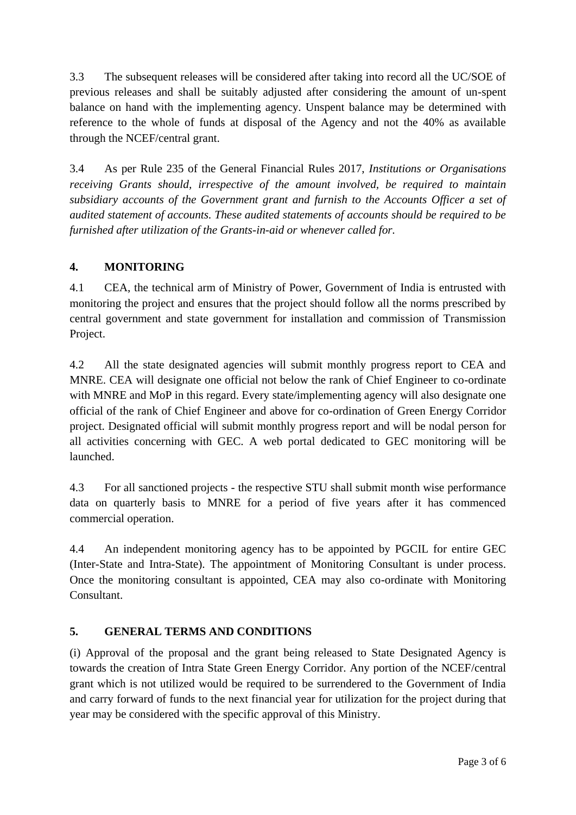3.3 The subsequent releases will be considered after taking into record all the UC/SOE of previous releases and shall be suitably adjusted after considering the amount of un-spent balance on hand with the implementing agency. Unspent balance may be determined with reference to the whole of funds at disposal of the Agency and not the 40% as available through the NCEF/central grant.

3.4 As per Rule 235 of the General Financial Rules 2017, *Institutions or Organisations receiving Grants should, irrespective of the amount involved, be required to maintain subsidiary accounts of the Government grant and furnish to the Accounts Officer a set of audited statement of accounts. These audited statements of accounts should be required to be furnished after utilization of the Grants-in-aid or whenever called for.* 

## **4. MONITORING**

4.1 CEA, the technical arm of Ministry of Power, Government of India is entrusted with monitoring the project and ensures that the project should follow all the norms prescribed by central government and state government for installation and commission of Transmission Project.

4.2 All the state designated agencies will submit monthly progress report to CEA and MNRE. CEA will designate one official not below the rank of Chief Engineer to co-ordinate with MNRE and MoP in this regard. Every state/implementing agency will also designate one official of the rank of Chief Engineer and above for co-ordination of Green Energy Corridor project. Designated official will submit monthly progress report and will be nodal person for all activities concerning with GEC. A web portal dedicated to GEC monitoring will be launched.

4.3 For all sanctioned projects - the respective STU shall submit month wise performance data on quarterly basis to MNRE for a period of five years after it has commenced commercial operation.

4.4 An independent monitoring agency has to be appointed by PGCIL for entire GEC (Inter-State and Intra-State). The appointment of Monitoring Consultant is under process. Once the monitoring consultant is appointed, CEA may also co-ordinate with Monitoring Consultant.

# **5. GENERAL TERMS AND CONDITIONS**

(i) Approval of the proposal and the grant being released to State Designated Agency is towards the creation of Intra State Green Energy Corridor. Any portion of the NCEF/central grant which is not utilized would be required to be surrendered to the Government of India and carry forward of funds to the next financial year for utilization for the project during that year may be considered with the specific approval of this Ministry.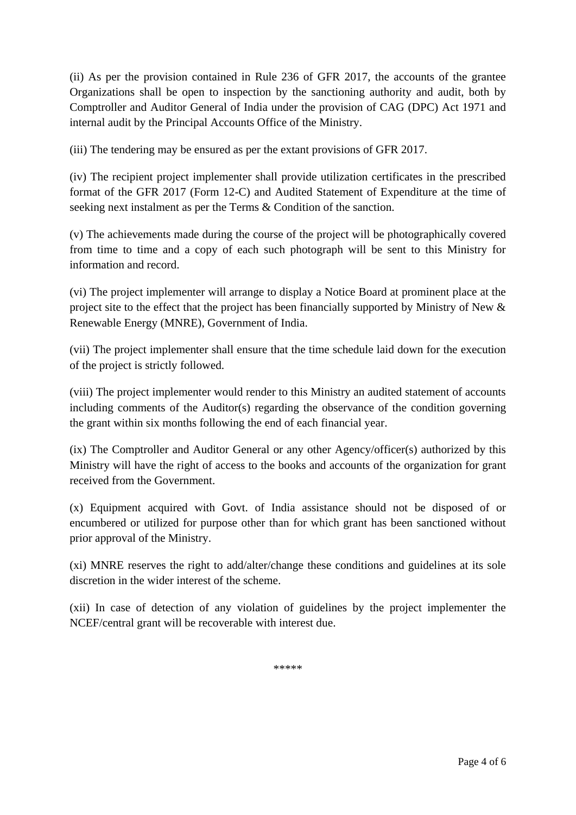(ii) As per the provision contained in Rule 236 of GFR 2017, the accounts of the grantee Organizations shall be open to inspection by the sanctioning authority and audit, both by Comptroller and Auditor General of India under the provision of CAG (DPC) Act 1971 and internal audit by the Principal Accounts Office of the Ministry.

(iii) The tendering may be ensured as per the extant provisions of GFR 2017.

(iv) The recipient project implementer shall provide utilization certificates in the prescribed format of the GFR 2017 (Form 12-C) and Audited Statement of Expenditure at the time of seeking next instalment as per the Terms & Condition of the sanction.

(v) The achievements made during the course of the project will be photographically covered from time to time and a copy of each such photograph will be sent to this Ministry for information and record.

(vi) The project implementer will arrange to display a Notice Board at prominent place at the project site to the effect that the project has been financially supported by Ministry of New & Renewable Energy (MNRE), Government of India.

(vii) The project implementer shall ensure that the time schedule laid down for the execution of the project is strictly followed.

(viii) The project implementer would render to this Ministry an audited statement of accounts including comments of the Auditor(s) regarding the observance of the condition governing the grant within six months following the end of each financial year.

(ix) The Comptroller and Auditor General or any other Agency/officer(s) authorized by this Ministry will have the right of access to the books and accounts of the organization for grant received from the Government.

(x) Equipment acquired with Govt. of India assistance should not be disposed of or encumbered or utilized for purpose other than for which grant has been sanctioned without prior approval of the Ministry.

(xi) MNRE reserves the right to add/alter/change these conditions and guidelines at its sole discretion in the wider interest of the scheme.

(xii) In case of detection of any violation of guidelines by the project implementer the NCEF/central grant will be recoverable with interest due.

\*\*\*\*\*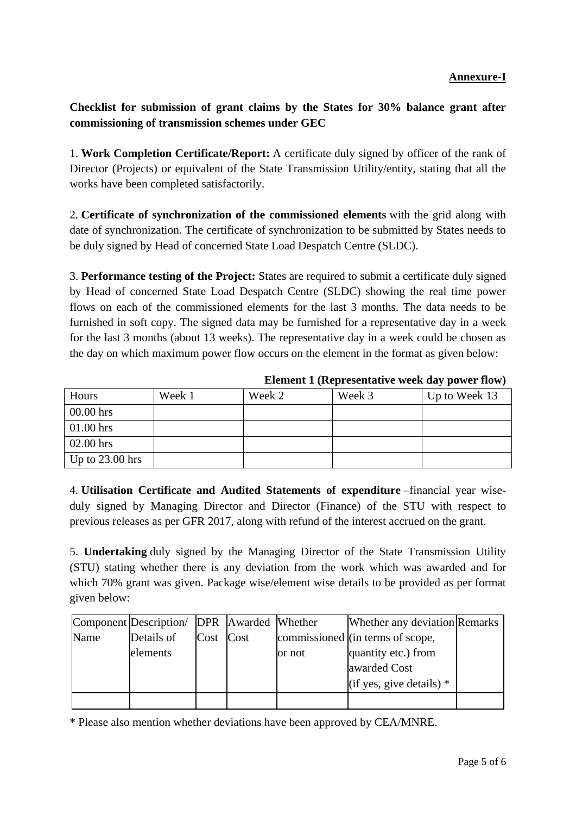## **Annexure-I**

## **Checklist for submission of grant claims by the States for 30% balance grant after commissioning of transmission schemes under GEC**

1. **Work Completion Certificate/Report:** A certificate duly signed by officer of the rank of Director (Projects) or equivalent of the State Transmission Utility/entity, stating that all the works have been completed satisfactorily.

2. **Certificate of synchronization of the commissioned elements** with the grid along with date of synchronization. The certificate of synchronization to be submitted by States needs to be duly signed by Head of concerned State Load Despatch Centre (SLDC).

3. **Performance testing of the Project:** States are required to submit a certificate duly signed by Head of concerned State Load Despatch Centre (SLDC) showing the real time power flows on each of the commissioned elements for the last 3 months. The data needs to be furnished in soft copy. The signed data may be furnished for a representative day in a week for the last 3 months (about 13 weeks). The representative day in a week could be chosen as the day on which maximum power flow occurs on the element in the format as given below:

| Hours             | Week 1 | Week 2 | Week 3 | Up to Week 13 |
|-------------------|--------|--------|--------|---------------|
| $00.00$ hrs       |        |        |        |               |
| $01.00$ hrs       |        |        |        |               |
| $02.00$ hrs       |        |        |        |               |
| Up to $23.00$ hrs |        |        |        |               |

**Element 1 (Representative week day power flow)**

4. **Utilisation Certificate and Audited Statements of expenditure** –financial year wiseduly signed by Managing Director and Director (Finance) of the STU with respect to previous releases as per GFR 2017, along with refund of the interest accrued on the grant.

5. **Undertaking** duly signed by the Managing Director of the State Transmission Utility (STU) stating whether there is any deviation from the work which was awarded and for which 70% grant was given. Package wise/element wise details to be provided as per format given below:

|      | Component Description/ DPR Awarded Whether |           |        | Whether any deviation Remarks    |  |
|------|--------------------------------------------|-----------|--------|----------------------------------|--|
| Name | Details of                                 | Cost Cost |        | commissioned (in terms of scope, |  |
|      | elements                                   |           | or not | quantity etc.) from              |  |
|      |                                            |           |        | awarded Cost                     |  |
|      |                                            |           |        | (if yes, give details) $*$       |  |
|      |                                            |           |        |                                  |  |

\* Please also mention whether deviations have been approved by CEA/MNRE.